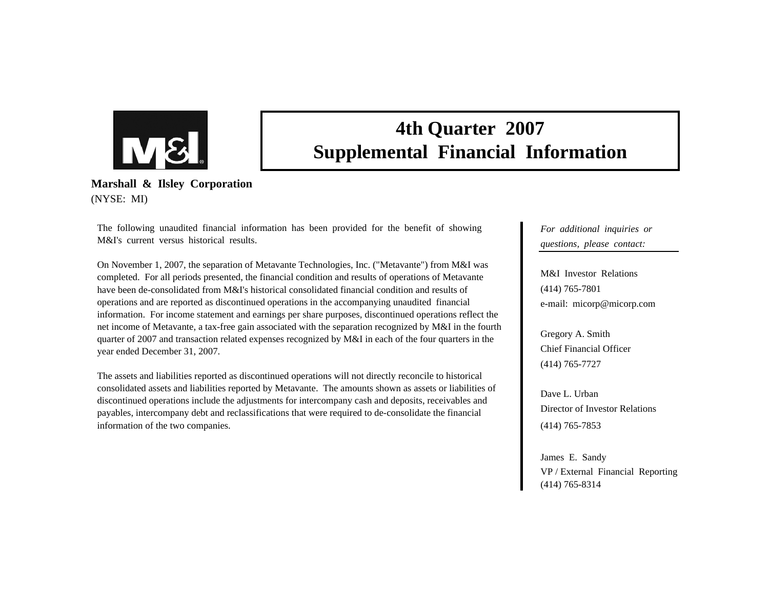

# **4th Quarter 2007 Supplemental Financial Information**

**Marshall & Ilsley Corporation** (NYSE: MI)

The following unaudited financial information has been provided for the benefit of showing M&I's current versus historical results.

On November 1, 2007, the separation of Metavante Technologies, Inc. ("Metavante") from M&I was completed. For all periods presented, the financial condition and results of operations of Metavante have been de-consolidated from M&I's historical consolidated financial condition and results of operations and are reported as discontinued operations in the accompanying unaudited financial information. For income statement and earnings per share purposes, discontinued operations reflect the net income of Metavante, a tax-free gain associated with the separation recognized by M&I in the fourth quarter of 2007 and transaction related expenses recognized by M&I in each of the four quarters in the year ended December 31, 2007.

The assets and liabilities reported as discontinued operations will not directly reconcile to historical consolidated assets and liabilities reported by Metavante. The amounts shown as assets or liabilities of discontinued operations include the adjustments for intercompany cash and deposits, receivables and payables, intercompany debt and reclassifications that were required to de-consolidate the financial information of the two companies.

*For additional inquiries or questions, please contact:*

M&I Investor Relations(414) 765-7801 e-mail: micorp@micorp.com

Gregory A. Smith Chief Financial Officer(414) 765-7727

Dave L. UrbanDirector of Investor Relations (414) 765-7853

James E. Sandy VP / External Financial Reporting (414) 765-8314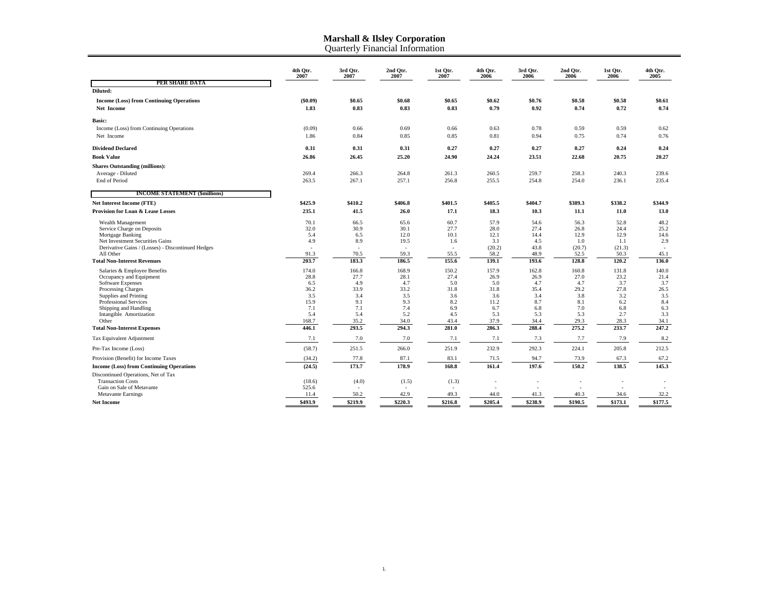Quarterly Financial Informatio n

|                                                                                      | 4th Qtr.<br>2007 | 3rd Qtr.<br>2007 | 2nd Qtr.<br>2007 | 1st Qtr.<br>2007 | 4th Qtr.<br>2006 | 3rd Qtr.<br>2006 | 2nd Qtr.<br>2006 | 1st Qtr.<br>2006 | 4th Qtr.<br>2005 |
|--------------------------------------------------------------------------------------|------------------|------------------|------------------|------------------|------------------|------------------|------------------|------------------|------------------|
| PER SHARE DATA                                                                       |                  |                  |                  |                  |                  |                  |                  |                  |                  |
| Diluted:                                                                             |                  |                  |                  |                  |                  |                  |                  |                  |                  |
| <b>Income (Loss) from Continuing Operations</b>                                      | $(\$0.09)$       | \$0.65           | \$0.68           | \$0.65           | \$0.62           | \$0.76           | \$0.58           | \$0.58           | \$0.61           |
| Net Income                                                                           | 1.83             | 0.83             | 0.83             | 0.83             | 0.79             | 0.92             | 0.74             | 0.72             | 0.74             |
| <b>Basic:</b>                                                                        |                  |                  |                  |                  |                  |                  |                  |                  |                  |
| Income (Loss) from Continuing Operations                                             | (0.09)           | 0.66             | 0.69             | 0.66             | 0.63             | 0.78             | 0.59             | 0.59             | 0.62             |
| Net Income                                                                           | 1.86             | 0.84             | 0.85             | 0.85             | 0.81             | 0.94             | 0.75             | 0.74             | 0.76             |
| <b>Dividend Declared</b>                                                             | 0.31             | 0.31             | 0.31             | 0.27             | 0.27             | 0.27             | 0.27             | 0.24             | 0.24             |
| <b>Book Value</b>                                                                    | 26.86            | 26.45            | 25.20            | 24.90            | 24.24            | 23.51            | 22.68            | 20.75            | 20.27            |
| <b>Shares Outstanding (millions):</b>                                                |                  |                  |                  |                  |                  |                  |                  |                  |                  |
| Average - Diluted                                                                    | 269.4            | 266.3            | 264.8            | 261.3            | 260.5            | 259.7            | 258.3            | 240.3            | 239.6            |
| End of Period                                                                        | 263.5            | 267.1            | 257.1            | 256.8            | 255.5            | 254.8            | 254.0            | 236.1            | 235.4            |
| <b>INCOME STATEMENT (\$millions)</b>                                                 |                  |                  |                  |                  |                  |                  |                  |                  |                  |
| <b>Net Interest Income (FTE)</b>                                                     | \$425.9          | \$410.2          | \$406.8          | \$401.5          | \$405.5          | \$404.7          | \$389.3          | \$338.2          | \$344.9          |
| <b>Provision for Loan &amp; Lease Losses</b>                                         | 235.1            | 41.5             | 26.0             | 17.1             | 18.3             | 10.3             | 11.1             | 11.0             | 13.0             |
| Wealth Management                                                                    | 70.1             | 66.5             | 65.6             | 60.7             | 57.9             | 54.6             | 56.3             | 52.8             | 48.2             |
| Service Charge on Deposits                                                           | 32.0             | 30.9             | 30.1             | 27.7             | 28.0             | 27.4             | 26.8             | 24.4             | 25.2             |
| Mortgage Banking                                                                     | 5.4              | 6.5              | 12.0             | 10.1             | 12.1             | 14.4             | 12.9             | 12.9             | 14.6             |
| Net Investment Securities Gains<br>Derivative Gains / (Losses) - Discontinued Hedges | 4.9              | 8.9              | 19.5             | 1.6              | 3.1<br>(20.2)    | 4.5<br>43.8      | 1.0<br>(20.7)    | 1.1<br>(21.3)    | 2.9<br>$\sim$    |
| All Other                                                                            | 91.3             | 70.5             | 59.3             | 55.5             | 58.2             | 48.9             | 52.5             | 50.3             | 45.1             |
| <b>Total Non-Interest Revenues</b>                                                   | 203.7            | 183.3            | 186.5            | 155.6            | 139.1            | 193.6            | 128.8            | 120.2            | 136.0            |
| Salaries & Employee Benefits                                                         | 174.0            | 166.8            | 168.9            | 150.2            | 157.9            | 162.8            | 160.8            | 131.8            | 140.0            |
| Occupancy and Equipment                                                              | 28.8             | 27.7             | 28.1             | 27.4             | 26.9             | 26.9             | 27.0             | 23.2             | 21.4             |
| <b>Software Expenses</b><br>Processing Charges                                       | 6.5<br>36.2      | 4.9<br>33.9      | 4.7<br>33.2      | 5.0<br>31.8      | 5.0<br>31.8      | 4.7<br>35.4      | 4.7<br>29.2      | 3.7<br>27.8      | 3.7<br>26.5      |
| Supplies and Printing                                                                | 3.5              | 3.4              | 3.5              | 3.6              | 3.6              | 3.4              | 3.8              | 3.2              | 3.5              |
| Professional Services                                                                | 15.9             | 9.1              | 9.3              | 8.2              | 11.2             | 8.7              | 8.1              | 6.2              | 8.4              |
| Shipping and Handling                                                                | 7.1              | 7.1              | 7.4              | 6.9              | 6.7              | 6.8              | 7.0              | 6.8              | 6.3              |
| Intangible Amortization                                                              | 5.4              | 5.4              | 5.2              | 4.5              | 5.3              | 5.3              | 5.3              | 2.7              | 3.3              |
| Other                                                                                | 168.7            | 35.2             | 34.0             | 43.4             | 37.9             | 34.4             | 29.3             | 28.3             | 34.1             |
| <b>Total Non-Interest Expenses</b>                                                   | 446.1            | 293.5            | 294.3            | 281.0            | 286.3            | 288.4            | 275.2            | 233.7            | 247.2            |
| Tax Equivalent Adjustment                                                            | 7.1              | 7.0              | 7.0              | 7.1              | 7.1              | 7.3              | 7.7              | 7.9              | 8.2              |
| Pre-Tax Income (Loss)                                                                | (58.7)           | 251.5            | 266.0            | 251.9            | 232.9            | 292.3            | 224.1            | 205.8            | 212.5            |
| Provision (Benefit) for Income Taxes                                                 | (34.2)           | 77.8             | 87.1             | 83.1             | 71.5             | 94.7             | 73.9             | 67.3             | 67.2             |
| <b>Income (Loss) from Continuing Operations</b>                                      | (24.5)           | 173.7            | 178.9            | 168.8            | 161.4            | 197.6            | 150.2            | 138.5            | 145.3            |
| Discontinued Operations, Net of Tax                                                  |                  |                  |                  |                  |                  |                  |                  |                  |                  |
| <b>Transaction Costs</b>                                                             | (18.6)           | (4.0)            | (1.5)            | (1.3)            |                  |                  |                  |                  |                  |
| Gain on Sale of Metavante                                                            | 525.6            |                  |                  |                  |                  |                  |                  |                  |                  |
| <b>Metavante Earnings</b>                                                            | 11.4             | 50.2             | 42.9             | 49.3             | 44.0             | 41.3             | 40.3             | 34.6             | 32.2             |
| <b>Net Income</b>                                                                    | \$493.9          | \$219.9          | \$220.3          | \$216.8          | \$205.4          | \$238.9          | \$190.5          | \$173.1          | \$177.5          |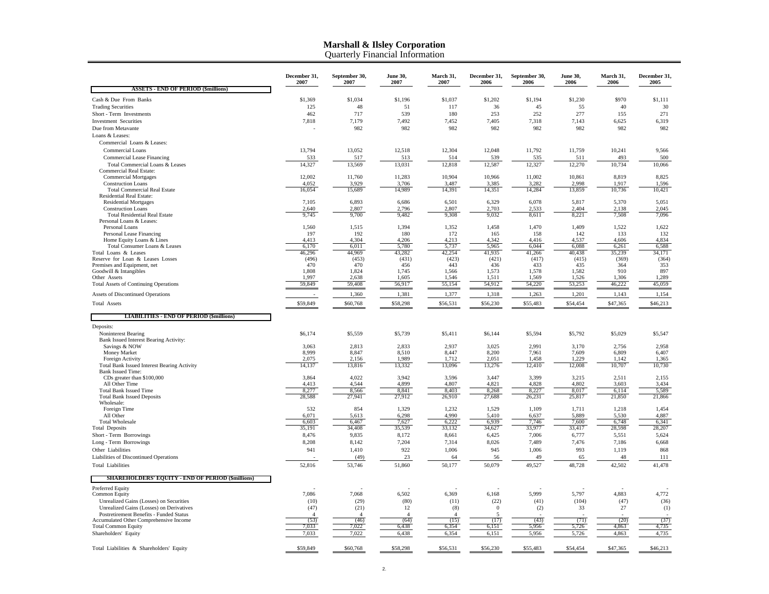|                                                                                   | December 31,<br>2007   | September 30,<br>2007          | <b>June 30.</b><br>2007 | March 31,<br>2007             | December 31,<br>2006             | September 30,<br>2006 | <b>June 30,</b><br>2006 | March 31,<br>2006 | December 31.<br>2005 |
|-----------------------------------------------------------------------------------|------------------------|--------------------------------|-------------------------|-------------------------------|----------------------------------|-----------------------|-------------------------|-------------------|----------------------|
| <b>ASSETS - END OF PERIOD (\$millions)</b>                                        |                        |                                |                         |                               |                                  |                       |                         |                   |                      |
| Cash & Due From Banks                                                             | \$1,369                | \$1,034                        | \$1,196                 | \$1,037                       | \$1,202                          | \$1,194               | \$1,230                 | \$970             | \$1,111              |
| <b>Trading Securities</b>                                                         | 125                    | 48                             | 51                      | 117                           | 36                               | 45                    | 55                      | 40                | 30                   |
| Short - Term Investments                                                          | 462                    | 717                            | 539                     | 180                           | 253                              | 252                   | 277                     | 155               | 271                  |
| <b>Investment Securities</b>                                                      | 7,818                  | 7,179                          | 7,492                   | 7,452                         | 7,405                            | 7,318                 | 7,143                   | 6,625             | 6,319                |
| Due from Metavante                                                                |                        | 982                            | 982                     | 982                           | 982                              | 982                   | 982                     | 982               | 982                  |
| Loans & Leases:                                                                   |                        |                                |                         |                               |                                  |                       |                         |                   |                      |
| Commercial Loans & Leases:<br>Commercial Loans                                    | 13,794                 | 13,052                         | 12,518                  | 12,304                        | 12,048                           | 11,792                | 11,759                  | 10,241            | 9.566                |
| Commercial Lease Financing                                                        | 533                    | 517                            | 513                     | 514                           | 539                              | 535                   | 511                     | 493               | 500                  |
| Total Commercial Loans & Leases                                                   | 14.327                 | 13,569                         | 13,031                  | 12,818                        | 12,587                           | 12,327                | 12,270                  | 10,734            | 10,066               |
| <b>Commercial Real Estate:</b>                                                    |                        |                                |                         |                               |                                  |                       |                         |                   |                      |
| <b>Commercial Mortgages</b>                                                       | 12,002                 | 11,760                         | 11,283                  | 10,904                        | 10,966                           | 11,002                | 10,861                  | 8,819             | 8,825                |
| <b>Construction Loans</b><br><b>Total Commercial Real Estate</b>                  | 4,052<br>16,054        | 3,929<br>15,689                | 3,706<br>14,989         | 3,487<br>14,391               | 3,385<br>14,351                  | 3,282<br>14,284       | 2.998<br>13,859         | 1,917<br>10,736   | 1,596<br>10,421      |
| Residential Real Estate:                                                          |                        |                                |                         |                               |                                  |                       |                         |                   |                      |
| <b>Residential Mortgages</b>                                                      | 7,105                  | 6,893                          | 6,686                   | 6,501                         | 6,329                            | 6,078                 | 5,817                   | 5,370             | 5,051                |
| <b>Construction Loans</b>                                                         | 2,640                  | 2,807                          | 2,796                   | 2,807                         | 2,703                            | 2,533                 | 2,404                   | 2,138             | 2,045                |
| <b>Total Residential Real Estate</b><br>Personal Loans & Leases:                  | 9,745                  | 9,700                          | 9,482                   | 9,308                         | 9,032                            | 8,611                 | 8,221                   | 7,508             | 7,096                |
| Personal Loans                                                                    | 1,560                  | 1,515                          | 1,394                   | 1,352                         | 1,458                            | 1,470                 | 1,409                   | 1,522             | 1,622                |
| Personal Lease Financing                                                          | 197                    | 192                            | 180                     | 172                           | 165                              | 158                   | 142                     | 133               | 132                  |
| Home Equity Loans & Lines                                                         | 4,413                  | 4.304                          | 4,206                   | 4,213                         | 4,342                            | 4,416                 | 4,537                   | 4,606             | 4,834                |
| Total Consumer Loans & Leases                                                     | 6,170                  | 6,011                          | 5,780                   | 5,737                         | 5,965                            | 6,044                 | 6,088                   | 6,261             | 6,588                |
| Total Loans & Leases<br>Reserve for Loan & Leases Losses                          | 46,296<br>(496)        | 44,969<br>(453)                | 43,282<br>(431)         | 42,254<br>(423)               | 41,935<br>(421)                  | 41,266<br>(417)       | 40,438<br>(415)         | 35,239<br>(369)   | 34,171<br>(364)      |
| Premises and Equipment, net                                                       | 470                    | 470                            | 456                     | 443                           | 436                              | 433                   | 435                     | 364               | 353                  |
| Goodwill & Intangibles                                                            | 1,808                  | 1,824                          | 1,745                   | 1,566                         | 1,573                            | 1,578                 | 1,582                   | 910               | 897                  |
| Other Assets<br><b>Total Assets of Continuing Operations</b>                      | 1.997<br>59,849        | 2,638<br>59,408                | 1,605<br>56,917         | 1,546<br>55,154               | 1,511<br>54,912                  | 1,569<br>54,220       | 1,526<br>53,253         | 1,306<br>46,222   | 1,289<br>45,059      |
| Assets of Discontinued Operations                                                 |                        | 1,360                          | 1,381                   | 1,377                         | 1,318                            | 1,263                 | 1,201                   | 1,143             | 1,154                |
| Total Assets                                                                      | \$59,849               | \$60,768                       | \$58,298                | \$56,531                      | \$56,230                         | \$55,483              | \$54,454                | \$47,365          | \$46,213             |
|                                                                                   |                        |                                |                         |                               |                                  |                       |                         |                   |                      |
| <b>LIABILITIES - END OF PERIOD (\$millions)</b>                                   |                        |                                |                         |                               |                                  |                       |                         |                   |                      |
| Deposits:                                                                         |                        |                                |                         |                               |                                  |                       |                         |                   |                      |
| Noninterest Bearing                                                               | \$6,174                | \$5,559                        | \$5,739                 | \$5,411                       | \$6,144                          | \$5,594               | \$5,792                 | \$5,029           | \$5,547              |
| Bank Issued Interest Bearing Activity:<br>Savings & NOW                           | 3,063                  | 2,813                          | 2,833                   | 2,937                         | 3,025                            | 2,991                 | 3,170                   | 2,756             | 2,958                |
| Money Market                                                                      | 8,999                  | 8,847                          | 8,510                   | 8,447                         | 8,200                            | 7,961                 | 7,609                   | 6,809             | 6,407                |
| Foreign Activity                                                                  | 2,075                  | 2,156                          | 1,989                   | 1,712                         | 2,051                            | 1,458                 | 1,229                   | 1,142             | 1,365                |
| Total Bank Issued Interest Bearing Activity                                       | 14,137                 | 13,816                         | 13,332                  | 13,096                        | 13,276                           | 12,410                | 12,008                  | 10,707            | 10,730               |
| <b>Bank Issued Time:</b><br>CDs greater than \$100,000                            | 3,864                  | 4,022                          | 3,942                   | 3,596                         | 3,447                            | 3,399                 | 3,215                   | 2,511             | 2,155                |
| All Other Time                                                                    | 4,413                  | 4,544                          | 4,899                   | 4.807                         | 4,821                            | 4,828                 | 4.802                   | 3,603             | 3,434                |
| <b>Total Bank Issued Time</b>                                                     | 8,277                  | 8,566                          | 8.841                   | 8,403                         | 8,268                            | 8,227                 | 8.017                   | 6,114             | 5,589                |
| <b>Total Bank Issued Deposits</b><br>Wholesale:                                   | 28,588                 | 27,941                         | 27,912                  | 26,910                        | 27,688                           | 26,231                | 25,817                  | 21,850            | 21,866               |
| Foreign Time                                                                      | 532                    | 854                            | 1,329                   | 1,232                         | 1,529                            | 1,109                 | 1,711                   | 1,218             | 1,454                |
| All Other                                                                         | 6,071                  | 5,613                          | 6,298                   | 4,990                         | 5,410                            | 6,637                 | 5,889                   | 5,530             | 4,887                |
| <b>Total Wholesale</b>                                                            | 6,603                  | 6,467                          | 7,627                   | 6,222                         | 6,939                            | 7,746                 | 7,600                   | 6,748             | 6,341                |
| <b>Total Deposits</b>                                                             | 35,191                 | 34,408                         | 35,539                  | 33,132                        | 34,627                           | 33,977                | 33,417                  | 28,598            | 28,207               |
| Short - Term Borrowings                                                           | 8,476<br>8,208         | 9,835                          | 8,172                   | 8,661                         | 6,425                            | 7,006<br>7,489        | 6,777                   | 5,551             | 5,624                |
| Long - Term Borrowings<br>Other Liabilities                                       | 941                    | 8,142<br>1,410                 | 7,204<br>922            | 7,314<br>1,006                | 8,026<br>945                     | 1,006                 | 7,476<br>993            | 7,186<br>1,119    | 6,668<br>868         |
| Liabilities of Discontinued Operations                                            |                        | (49)                           | 23                      | 64                            | 56                               | 49                    | 65                      | 48                | 111                  |
| <b>Total Liabilities</b>                                                          | 52,816                 | 53,746                         | 51,860                  | 50,177                        | 50,079                           | 49,527                | 48,728                  | 42,502            | 41,478               |
| <b>SHAREHOLDERS' EQUITY - END OF PERIOD (\$millions)</b>                          |                        |                                |                         |                               |                                  |                       |                         |                   |                      |
| Preferred Equity                                                                  |                        |                                |                         |                               |                                  |                       |                         |                   |                      |
| <b>Common Equity</b>                                                              | 7,086                  | 7,068                          | 6,502                   | 6,369                         | 6,168                            | 5,999                 | 5,797                   | 4,883             | 4,772                |
| Unrealized Gains (Losses) on Securities                                           | (10)                   | (29)                           | (80)                    | (11)                          | (22)                             | (41)                  | (104)                   | (47)              | (36)                 |
| Unrealized Gains (Losses) on Derivatives                                          | (47)                   | (21)                           | 12                      | (8)                           | $\mathbf{0}$                     | (2)                   | 33                      | 27                | (1)                  |
| Postretirement Benefits - Funded Status<br>Accumulated Other Comprehensive Income | $\overline{4}$<br>(53) | $\boldsymbol{\Lambda}$<br>(46) | $\overline{A}$<br>(64)  | $\boldsymbol{\Delta}$<br>(15) | $\overline{\phantom{0}}$<br>(17) | (43)                  | (71)                    | (20)              | (37)                 |
| <b>Total Common Equity</b>                                                        | 7.033                  | 7.022                          | 6.438                   | 6.354                         | 6.151                            | 5.956                 | 5.726                   | 4.863             | 4,735                |
| Shareholders' Equity                                                              | 7,033                  | 7.022                          | 6,438                   | 6,354                         | 6,151                            | 5,956                 | 5,726                   | 4,863             | 4,735                |
| Total Liabilities & Shareholders' Equity                                          | \$59,849               | \$60,768                       | \$58,298                | \$56,531                      | \$56,230                         | \$55,483              | \$54,454                | \$47,365          | \$46,213             |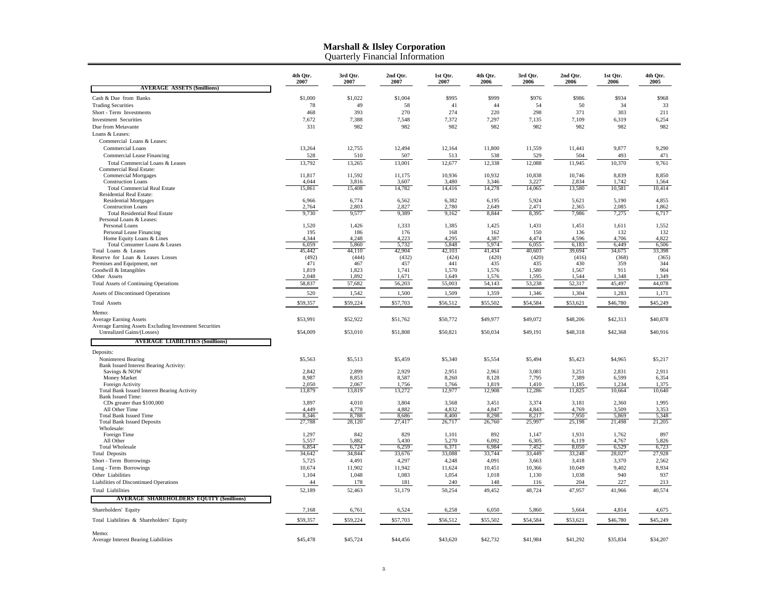|                                                                                     | 4th Otr.<br>2007 | 3rd Otr.<br>2007 | 2nd Otr.<br>2007 | 1st Otr.<br>2007 | 4th Otr.<br>2006 | 3rd Otr.<br>2006 | 2nd Otr.<br>2006 | 1st Otr.<br>2006 | 4th Otr.<br>2005 |
|-------------------------------------------------------------------------------------|------------------|------------------|------------------|------------------|------------------|------------------|------------------|------------------|------------------|
| <b>AVERAGE ASSETS (\$millions)</b>                                                  |                  |                  |                  |                  |                  |                  |                  |                  |                  |
| Cash & Due from Banks                                                               | \$1,000          | \$1,022          | \$1,004          | \$995            | \$999            | \$976            | \$986            | \$934            | \$968            |
| <b>Trading Securities</b>                                                           | 78               | 49               | 58               | 41               | 44               | 54               | 50               | 34               | 33               |
| Short - Term Investments                                                            | 468              | 393              | 270              | 274              | 220              | 298              | 371              | 303              | 211              |
| <b>Investment Securities</b>                                                        | 7,672            | 7,388            | 7,548            | 7,372            | 7,297            | 7,135            | 7,109            | 6,319            | 6,254            |
| Due from Metavante                                                                  | 331              | 982              | 982              | 982              | 982              | 982              | 982              | 982              | 982              |
| Loans & Leases:<br>Commercial Loans & Leases:                                       |                  |                  |                  |                  |                  |                  |                  |                  |                  |
| Commercial Loans                                                                    | 13,264           | 12,755           | 12,494           | 12,164           | 11,800           | 11,559           | 11,441           | 9,877            | 9,290            |
| Commercial Lease Financing                                                          | 528              | 510              | 507              | 513              | 538              | 529              | 504              | 493              | 471              |
| Total Commercial Loans & Leases                                                     | 13,792           | 13,265           | 13,001           | 12,677           | 12,338           | 12,088           | 11,945           | 10,370           | 9,761            |
| Commercial Real Estate:                                                             |                  |                  |                  |                  |                  |                  |                  |                  |                  |
| <b>Commercial Mortgages</b>                                                         | 11,817           | 11,592           | 11,175           | 10,936           | 10,932           | 10,838           | 10,746           | 8,839            | 8,850            |
| <b>Construction Loans</b>                                                           | 4,044            | 3,816            | 3,607            | 3,480            | 3,346<br>14,278  | 3,227            | 2,834            | 1,742            | 1,564            |
| <b>Total Commercial Real Estate</b><br>Residential Real Estate:                     | 15,861           | 15,408           | 14,782           | 14,416           |                  | 14,065           | 13,580           | 10,581           | 10,414           |
| <b>Residential Mortgages</b>                                                        | 6,966            | 6,774            | 6,562            | 6,382            | 6,195            | 5,924            | 5,621            | 5,190            | 4,855            |
| <b>Construction Loans</b>                                                           | 2,764            | 2,803            | 2,827            | 2,780            | 2,649            | 2,471            | 2,365            | 2.085            | 1,862            |
| <b>Total Residential Real Estate</b>                                                | 9,730            | 9,577            | 9,389            | 9,162            | 8,844            | 8,395            | 7,986            | 7,275            | 6,717            |
| Personal Loans & Leases:<br>Personal Loans                                          | 1,520            | 1,426            | 1,333            | 1,385            | 1,425            | 1,431            | 1,451            | 1,611            | 1,552            |
| Personal Lease Financing                                                            | 195              | 186              | 176              | 168              | 162              | 150              | 136              | 132              | 132              |
| Home Equity Loans & Lines                                                           | 4.344            | 4,248            | 4,223            | 4.295            | 4,387            | 4,474            | 4,596            | 4,706            | 4,822            |
| Total Consumer Loans & Leases                                                       | 6.059            | 5.860            | 5,732            | 5.848            | 5.974            | 6,055            | 6,183            | 6.449            | 6,506            |
| Total Loans & Leases<br>Reserve for Loan & Leases Losses                            | 45,442<br>(492)  | 44,110<br>(444)  | 42,904<br>(432)  | 42,103<br>(424)  | 41,434<br>(420)  | 40,603<br>(420)  | 39,694<br>(416)  | 34,675<br>(368)  | 33,398<br>(365)  |
| Premises and Equipment, net                                                         | 471              | 467              | 457              | 441              | 435              | 435              | 430              | 359              | 344              |
| Goodwill & Intangibles                                                              | 1,819            | 1,823            | 1,741            | 1,570            | 1,576            | 1,580            | 1,567            | 911              | 904              |
| Other Assets                                                                        | 2.048            | 1,892            | 1.671            | 1.649            | 1,576            | 1,595            | 1,544            | 1.348            | 1.349            |
| <b>Total Assets of Continuing Operations</b>                                        | 58,837           | 57,682           | 56,203           | 55,003           | 54,143           | 53,238           | 52,317           | 45,497           | 44,078           |
| Assets of Discontinued Operations                                                   | 520              | 1,542            | 1,500            | 1,509            | 1,359            | 1,346            | 1,304            | 1,283            | 1,171            |
| <b>Total Assets</b>                                                                 | \$59,357         | \$59,224         | \$57,703         | \$56,512         | \$55,502         | \$54,584         | \$53,621         | \$46,780         | \$45,249         |
| Memo:                                                                               |                  |                  |                  |                  |                  |                  |                  |                  |                  |
| <b>Average Earning Assets</b>                                                       | \$53,991         | \$52,922         | \$51,762         | \$50,772         | \$49,977         | \$49,072         | \$48,206         | \$42,313         | \$40,878         |
| Average Earning Assets Excluding Investment Securities<br>Unrealized Gains/(Losses) | \$54,009         | \$53,010         | \$51,808         | \$50,821         | \$50,034         | \$49,191         | \$48,318         | \$42,368         | \$40,916         |
|                                                                                     |                  |                  |                  |                  |                  |                  |                  |                  |                  |
| <b>AVERAGE LIABILITIES (\$millions)</b>                                             |                  |                  |                  |                  |                  |                  |                  |                  |                  |
| Deposits:                                                                           |                  |                  |                  |                  |                  |                  |                  |                  |                  |
| Noninterest Bearing                                                                 | \$5,563          | \$5,513          | \$5,459          | \$5,340          | \$5,554          | \$5,494          | \$5,423          | \$4,965          | \$5,217          |
| Bank Issued Interest Bearing Activity:<br>Savings & NOW                             | 2.842            | 2.899            | 2.929            | 2.951            | 2.961            | 3,081            | 3.251            | 2.831            | 2.911            |
| Money Market                                                                        | 8,987            | 8,853            | 8,587            | 8,260            | 8,128            | 7,795            | 7,389            | 6,599            | 6,354            |
| Foreign Activity                                                                    | 2.050            | 2.067            | 1,756            | 1.766            | 1.819            | 1.410            | 1.185            | 1.234            | 1,375            |
| Total Bank Issued Interest Bearing Activity                                         | 13,879           | 13,819           | 13,272           | 12,977           | 12,908           | 12,286           | 11,825           | 10,664           | 10,640           |
| <b>Bank Issued Time:</b><br>CDs greater than \$100,000                              | 3,897            | 4,010            | 3,804            | 3,568            | 3,451            | 3,374            | 3,181            | 2,360            | 1,995            |
| All Other Time                                                                      | 4,449            | 4,778            | 4,882            | 4,832            | 4,847            | 4,843            | 4,769            | 3,509            | 3,353            |
| <b>Total Bank Issued Time</b>                                                       | 8,346            | 8,788            | 8,686            | 8,400            | 8,298            | 8,217            | 7,950            | 5,869            | 5,348            |
| <b>Total Bank Issued Deposits</b>                                                   | 27,788           | 28,120           | 27,417           | 26,717           | 26,760           | 25,997           | 25,198           | 21,498           | 21,205           |
| Wholesale:                                                                          |                  | 842              | 829              |                  | 892              |                  | 1,931            |                  | 897              |
| Foreign Time<br>All Other                                                           | 1,297<br>5,557   | 5,882            | 5,430            | 1,101<br>5,270   | 6,092            | 1,147<br>6,305   | 6,119            | 1,762<br>4,767   | 5,826            |
| <b>Total Wholesale</b>                                                              | 6,854            | 6,724            | 6,259            | 6,371            | 6,984            | 7,452            | 8,050            | 6,529            | 6,723            |
| <b>Total Deposits</b>                                                               | 34,642           | 34,844           | 33,676           | 33,088           | 33,744           | 33,449           | 33,248           | 28,027           | 27,928           |
| Short - Term Borrowings                                                             | 5,725            | 4,491            | 4,297            | 4,248            | 4,091            | 3,663            | 3,418            | 3,370            | 2,562            |
| Long - Term Borrowings                                                              | 10,674           | 11,902           | 11,942           | 11,624           | 10,451           | 10,366           | 10,049           | 9,402            | 8,934            |
| Other Liabilities                                                                   | 1,104            | 1,048            | 1,083            | 1,054            | 1,018            | 1,130            | 1,038            | 940              | 937              |
| Liabilities of Discontinued Operations                                              | 44               | 178              | 181              | 240              | 148              | 116              | 204              | 227              | 213              |
| <b>Total Liabilities</b><br><b>AVERAGE SHAREHOLDERS' EQUITY (\$millions)</b>        | 52,189           | 52,463           | 51,179           | 50,254           | 49,452           | 48,724           | 47,957           | 41,966           | 40,574           |
| Shareholders' Equity                                                                | 7,168            | 6,761            | 6,524            | 6,258            | 6,050            | 5,860            | 5,664            | 4,814            | 4,675            |
| Total Liabilities & Shareholders' Equity                                            | \$59,357         | \$59,224         | \$57,703         | \$56,512         | \$55,502         | \$54,584         | \$53,621         | \$46,780         | \$45,249         |
|                                                                                     |                  |                  |                  |                  |                  |                  |                  |                  |                  |
| Memo:<br>Average Interest Bearing Liabilities                                       | \$45,478         | \$45,724         | \$44,456         | \$43,620         | \$42,732         | \$41.984         | \$41,292         | \$35,834         | \$34,207         |
|                                                                                     |                  |                  |                  |                  |                  |                  |                  |                  |                  |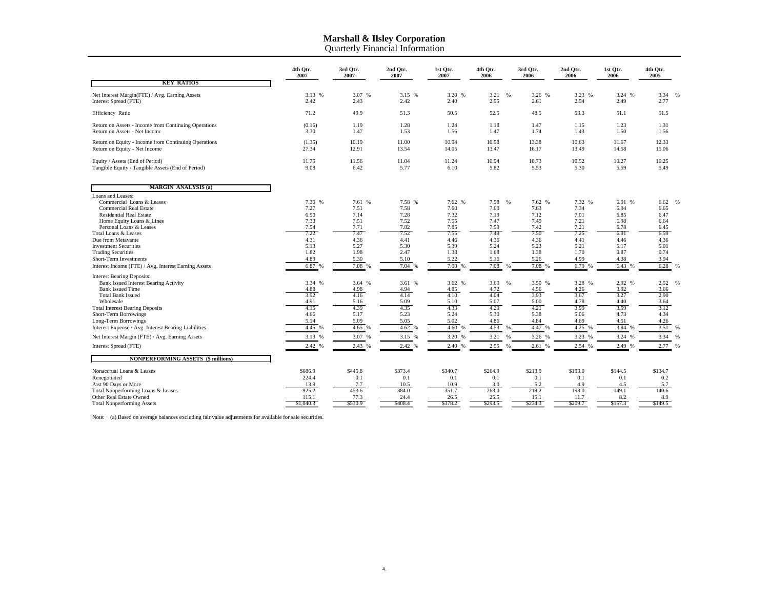|                                                                                                                                                                                                                                                                                                                                                                                                                                                                                                                                                                                                                            | 4th Otr.<br>2007                                                                                                                                             | 3rd Otr.<br>2007                                                                                                                                             | 2nd Otr.<br>2007                                                                                                                                            | 1st Otr.<br>2007                                                                                                                                            | 4th Otr.<br>2006                                                                                                                                                                          | 3rd Otr.<br>2006                                                                                                                                           | 2nd Otr.<br>2006                                                                                                                                           | 1st Otr.<br>2006                                                                                                                                             | 4th Otr.<br>2005                                                                                                                                                                |
|----------------------------------------------------------------------------------------------------------------------------------------------------------------------------------------------------------------------------------------------------------------------------------------------------------------------------------------------------------------------------------------------------------------------------------------------------------------------------------------------------------------------------------------------------------------------------------------------------------------------------|--------------------------------------------------------------------------------------------------------------------------------------------------------------|--------------------------------------------------------------------------------------------------------------------------------------------------------------|-------------------------------------------------------------------------------------------------------------------------------------------------------------|-------------------------------------------------------------------------------------------------------------------------------------------------------------|-------------------------------------------------------------------------------------------------------------------------------------------------------------------------------------------|------------------------------------------------------------------------------------------------------------------------------------------------------------|------------------------------------------------------------------------------------------------------------------------------------------------------------|--------------------------------------------------------------------------------------------------------------------------------------------------------------|---------------------------------------------------------------------------------------------------------------------------------------------------------------------------------|
| <b>KEY RATIOS</b>                                                                                                                                                                                                                                                                                                                                                                                                                                                                                                                                                                                                          |                                                                                                                                                              |                                                                                                                                                              |                                                                                                                                                             |                                                                                                                                                             |                                                                                                                                                                                           |                                                                                                                                                            |                                                                                                                                                            |                                                                                                                                                              |                                                                                                                                                                                 |
| Net Interest Margin(FTE) / Avg. Earning Assets<br>Interest Spread (FTE)                                                                                                                                                                                                                                                                                                                                                                                                                                                                                                                                                    | 3.13 %<br>2.42                                                                                                                                               | 3.07 %<br>2.43                                                                                                                                               | 3.15 %<br>2.42                                                                                                                                              | 3.20 %<br>2.40                                                                                                                                              | 3.21<br>$\frac{9}{6}$<br>2.55                                                                                                                                                             | 3.26 %<br>2.61                                                                                                                                             | 3.23 %<br>2.54                                                                                                                                             | 3.24 %<br>2.49                                                                                                                                               | 3.34<br>2.77                                                                                                                                                                    |
| Efficiency Ratio                                                                                                                                                                                                                                                                                                                                                                                                                                                                                                                                                                                                           | 71.2                                                                                                                                                         | 49.9                                                                                                                                                         | 51.3                                                                                                                                                        | 50.5                                                                                                                                                        | 52.5                                                                                                                                                                                      | 48.5                                                                                                                                                       | 53.3                                                                                                                                                       | 51.1                                                                                                                                                         | 51.5                                                                                                                                                                            |
| Return on Assets - Income from Continuing Operations<br>Return on Assets - Net Income                                                                                                                                                                                                                                                                                                                                                                                                                                                                                                                                      | (0.16)<br>3.30                                                                                                                                               | 1.19<br>1.47                                                                                                                                                 | 1.28<br>1.53                                                                                                                                                | 1.24<br>1.56                                                                                                                                                | 1.18<br>1.47                                                                                                                                                                              | 1.47<br>1.74                                                                                                                                               | 1.15<br>1.43                                                                                                                                               | 1.23<br>1.50                                                                                                                                                 | 1.31<br>1.56                                                                                                                                                                    |
| Return on Equity - Income from Continuing Operations<br>Return on Equity - Net Income                                                                                                                                                                                                                                                                                                                                                                                                                                                                                                                                      | (1.35)<br>27.34                                                                                                                                              | 10.19<br>12.91                                                                                                                                               | 11.00<br>13.54                                                                                                                                              | 10.94<br>14.05                                                                                                                                              | 10.58<br>13.47                                                                                                                                                                            | 13.38<br>16.17                                                                                                                                             | 10.63<br>13.49                                                                                                                                             | 11.67<br>14.58                                                                                                                                               | 12.33<br>15.06                                                                                                                                                                  |
| Equity / Assets (End of Period)<br>Tangible Equity / Tangible Assets (End of Period)                                                                                                                                                                                                                                                                                                                                                                                                                                                                                                                                       | 11.75<br>9.08                                                                                                                                                | 11.56<br>6.42                                                                                                                                                | 11.04<br>5.77                                                                                                                                               | 11.24<br>6.10                                                                                                                                               | 10.94<br>5.82                                                                                                                                                                             | 10.73<br>5.53                                                                                                                                              | 10.52<br>5.30                                                                                                                                              | 10.27<br>5.59                                                                                                                                                | 10.25<br>5.49                                                                                                                                                                   |
| <b>MARGIN ANALYSIS (a)</b>                                                                                                                                                                                                                                                                                                                                                                                                                                                                                                                                                                                                 |                                                                                                                                                              |                                                                                                                                                              |                                                                                                                                                             |                                                                                                                                                             |                                                                                                                                                                                           |                                                                                                                                                            |                                                                                                                                                            |                                                                                                                                                              |                                                                                                                                                                                 |
| Loans and Leases:<br>Commercial Loans & Leases<br><b>Commercial Real Estate</b><br><b>Residential Real Estate</b><br>Home Equity Loans & Lines<br>Personal Loans & Leases<br>Total Loans & Leases<br>Due from Metavante<br><b>Investment Securities</b><br><b>Trading Securities</b><br>Short-Term Investments<br>Interest Income (FTE) / Avg. Interest Earning Assets<br><b>Interest Bearing Deposits:</b><br><b>Bank Issued Interest Bearing Activity</b><br><b>Bank Issued Time</b><br><b>Total Bank Issued</b><br>Wholesale<br><b>Total Interest Bearing Deposits</b><br>Short-Term Borrowings<br>Long-Term Borrowings | 7.30 %<br>7.27<br>6.90<br>7.33<br>7.54<br>7.22<br>4.31<br>5.13<br>1.82<br>4.89<br>6.87 %<br>3.34 %<br>4.88<br>3.92<br>4.91<br>4.15<br>4.66<br>5.14<br>4.45 % | 7.61 %<br>7.51<br>7.14<br>7.51<br>7.71<br>7.47<br>4.36<br>5.27<br>1.98<br>5.30<br>7.08 %<br>3.64 %<br>4.98<br>4.16<br>5.16<br>4.39<br>5.17<br>5.09<br>4.65 % | 7.58 %<br>7.58<br>7.28<br>7.52<br>7.82<br>7.52<br>4.41<br>5.30<br>2.47<br>5.10<br>7.04%<br>3.61 %<br>4.94<br>4.14<br>5.09<br>4.35<br>5.23<br>5.05<br>4.62 % | 7.62 %<br>7.60<br>7.32<br>7.55<br>7.85<br>7.55<br>4.46<br>5.39<br>1.38<br>5.22<br>7.00 %<br>3.62 %<br>4.85<br>4.10<br>5.10<br>4.33<br>5.24<br>5.02<br>4.60% | 7.58<br>$\frac{9}{6}$<br>7.60<br>7.19<br>7.47<br>7.59<br>7.49<br>4.36<br>5.24<br>1.68<br>5.16<br>7.08<br>$\alpha$<br>3.60<br>$\%$<br>4.72<br>4.04<br>5.07<br>4.29<br>5.30<br>4.86<br>4.53 | 7.62 %<br>7.63<br>7.12<br>7.49<br>7.42<br>7.50<br>4.36<br>5.23<br>1.38<br>5.26<br>7.08 %<br>3.50 %<br>4.56<br>3.93<br>5.00<br>4.21<br>5.38<br>4.84<br>4.47 | 7.32 %<br>7.34<br>7.01<br>7.21<br>7.21<br>7.25<br>4.41<br>5.21<br>1.70<br>4.99<br>6.79%<br>3.28 %<br>4.26<br>3.67<br>4.78<br>3.99<br>5.06<br>4.69<br>4.25% | 6.91 %<br>6.94<br>6.85<br>6.98<br>6.78<br>6.91<br>4.46<br>5.17<br>0.87<br>4.38<br>6.43 %<br>2.92 %<br>3.92<br>3.27<br>4.40<br>3.59<br>4.73<br>4.51<br>3.94 % | 6.62<br>6.65<br>6.47<br>6.64<br>6.45<br>6.59<br>4.36<br>5.01<br>0.74<br>3.94<br>6.28<br>$\frac{0}{2}$<br>2.52<br>%<br>3.66<br>2.90<br>3.64<br>3.12<br>4.34<br>4.26<br>3.51<br>% |
| Interest Expense / Avg. Interest Bearing Liabilities<br>Net Interest Margin (FTE) / Avg. Earning Assets                                                                                                                                                                                                                                                                                                                                                                                                                                                                                                                    | 3.13 %                                                                                                                                                       | 3.07 %                                                                                                                                                       | 3.15 %                                                                                                                                                      | 3.20 %                                                                                                                                                      | 3.21<br>$\frac{9}{6}$                                                                                                                                                                     | 3.26 %                                                                                                                                                     | 3.23 %                                                                                                                                                     | 3.24 %                                                                                                                                                       | 3.34                                                                                                                                                                            |
| Interest Spread (FTE)                                                                                                                                                                                                                                                                                                                                                                                                                                                                                                                                                                                                      | 2.42 %                                                                                                                                                       | 2.43 %                                                                                                                                                       | 2.42 %                                                                                                                                                      | 2.40 %                                                                                                                                                      | 2.55<br>$\frac{9}{6}$                                                                                                                                                                     | 2.61 %                                                                                                                                                     | 2.54 %                                                                                                                                                     | 2.49 %                                                                                                                                                       | 2.77<br>%                                                                                                                                                                       |
| <b>NONPERFORMING ASSETS (\$ millions)</b>                                                                                                                                                                                                                                                                                                                                                                                                                                                                                                                                                                                  |                                                                                                                                                              |                                                                                                                                                              |                                                                                                                                                             |                                                                                                                                                             |                                                                                                                                                                                           |                                                                                                                                                            |                                                                                                                                                            |                                                                                                                                                              |                                                                                                                                                                                 |
| Nonaccrual Loans & Leases<br>Renegotiated<br>Past 90 Days or More<br>Total Nonperforming Loans & Leases<br>Other Real Estate Owned<br><b>Total Nonperforming Assets</b>                                                                                                                                                                                                                                                                                                                                                                                                                                                    | \$686.9<br>224.4<br>13.9<br>925.2<br>115.1<br>\$1,040.3                                                                                                      | \$445.8<br>0.1<br>7.7<br>453.6<br>77.3<br>\$530.9                                                                                                            | \$373.4<br>0.1<br>10.5<br>384.0<br>24.4<br>\$408.4                                                                                                          | \$340.7<br>0.1<br>10.9<br>351.7<br>26.5<br>\$378.2                                                                                                          | \$264.9<br>0.1<br>3.0<br>268.0<br>25.5<br>\$293.5                                                                                                                                         | \$213.9<br>0.1<br>5.2<br>219.2<br>15.1<br>\$234.3                                                                                                          | \$193.0<br>0.1<br>4.9<br>198.0<br>11.7<br>\$209.7                                                                                                          | \$144.5<br>0.1<br>4.5<br>149.1<br>8.2<br>\$157.3                                                                                                             | \$134.7<br>0.2<br>5.7<br>140.6<br>8.9<br>\$149.5                                                                                                                                |

Note: (a) Based on average balances excluding fair value adjustments for available for sale securities.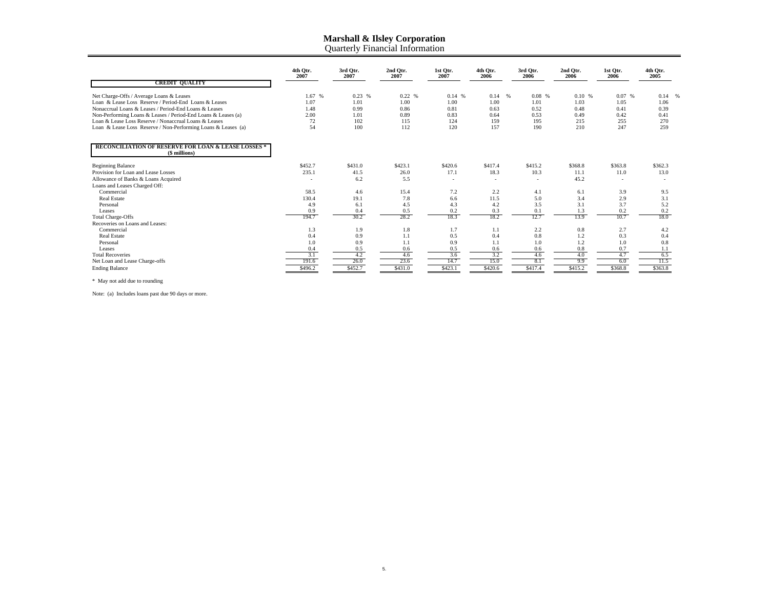|                                                                                 | 4th Otr.<br>2007 | 3rd Otr.<br>2007 | 2nd Otr.<br>2007 | 1st Otr.<br>2007 | 4th Otr.<br>2006 | 3rd Otr.<br>2006 | 2nd Otr.<br>2006 | 1st Otr.<br>2006 | 4th Otr.<br>2005 |
|---------------------------------------------------------------------------------|------------------|------------------|------------------|------------------|------------------|------------------|------------------|------------------|------------------|
| <b>CREDIT QUALITY</b>                                                           |                  |                  |                  |                  |                  |                  |                  |                  |                  |
| Net Charge-Offs / Average Loans & Leases                                        | 1.67 %           | 0.23%            | 0.22%            | 0.14%            | $0.14 - %$       | 0.08%            | 0.10%            | 0.07%            | 0.14%            |
| Loan & Lease Loss Reserve / Period-End Loans & Leases                           | 1.07             | 1.01             | 1.00             | 1.00             | 1.00             | 1.01             | 1.03             | 1.05             | 1.06             |
| Nonaccrual Loans & Leases / Period-End Loans & Leases                           | 1.48             | 0.99             | 0.86             | 0.81             | 0.63             | 0.52             | 0.48             | 0.41             | 0.39             |
| Non-Performing Loans & Leases / Period-End Loans & Leases (a)                   | 2.00             | 1.01             | 0.89             | 0.83             | 0.64             | 0.53             | 0.49             | 0.42             | 0.41             |
| Loan & Lease Loss Reserve / Nonaccrual Loans & Leases                           | 72               | 102              | 115              | 124              | 159              | 195              | 215              | 255              | 270              |
| Loan & Lease Loss Reserve / Non-Performing Loans & Leases (a)                   | 54               | 100              | 112              | 120              | 157              | 190              | 210              | 247              | 259              |
| <b>RECONCILIATION OF RESERVE FOR LOAN &amp; LEASE LOSSES *</b><br>(\$ millions) |                  |                  |                  |                  |                  |                  |                  |                  |                  |
| <b>Beginning Balance</b>                                                        | \$452.7          | \$431.0          | \$423.1          | \$420.6          | \$417.4          | \$415.2          | \$368.8          | \$363.8          | \$362.3          |
| Provision for Loan and Lease Losses                                             | 235.1            | 41.5             | 26.0             | 17.1             | 18.3             | 10.3             | 11.1             | 11.0             | 13.0             |
| Allowance of Banks & Loans Acquired                                             | $\sim$           | 6.2              | 5.5              | ٠                | $\sim$           | $\sim$           | 45.2             |                  |                  |
| Loans and Leases Charged Off:                                                   |                  |                  |                  |                  |                  |                  |                  |                  |                  |
| Commercial                                                                      | 58.5             | 4.6              | 15.4             | 7.2              | 2.2              | 4.1              | 6.1              | 3.9              | 9.5              |
| Real Estate                                                                     | 130.4            | 19.1             | 7.8              | 6.6              | 11.5             | 5.0              | 3.4              | 2.9              | 3.1              |
| Personal                                                                        | 4.9              | 6.1              | 4.5              | 4.3              | 4.2              | 3.5              | 3.1              | 3.7              | 5.2              |
| Leases                                                                          | 0.9              | 0.4              | 0.5              | 0.2              | 0.3              | 0.1              | 1.3              | 0.2              | 0.2              |
| <b>Total Charge-Offs</b>                                                        | 194.7            | 30.2             | 28.2             | 18.3             | 18.2             | 12.7             | 13.9             | 10.7             | 18.0             |
| Recoveries on Loans and Leases:                                                 |                  |                  |                  |                  |                  |                  |                  |                  |                  |
| Commercial                                                                      | 1.3              | 1.9              | 1.8              | 1.7              | 1.1              | 2.2              | 0.8              | 2.7              | 4.2              |
| <b>Real Estate</b>                                                              | 0.4              | 0.9              | 1.1              | 0.5              | 0.4              | 0.8              | 1.2              | 0.3              | 0.4              |
| Personal                                                                        | 1.0              | 0.9              | 1.1              | 0.9              | 1.1              | 1.0              | 1.2              | 1.0              | 0.8              |
| Leases                                                                          | 0.4              | 0.5              | 0.6              | 0.5              | 0.6              | 0.6              | 0.8              | 0.7              | 1.1              |
| <b>Total Recoveries</b>                                                         | 3.1              | 4.2              | 4.6              | 3.6              | 3.2              | 4.6              | 4.0              | 4.7              | 6.5              |
| Net Loan and Lease Charge-offs                                                  | 191.6            | 26.0             | 23.6             | 14.7             | 15.0             | 8.1              | 9.9              | 6.0              | 11.5             |
| <b>Ending Balance</b>                                                           | \$496.2          | \$452.7          | \$431.0          | \$423.1          | \$420.6          | \$417.4          | \$415.2          | \$368.8          | \$363.8          |

\* May not add due to rounding

Note: (a) Includes loans past due 90 days or more.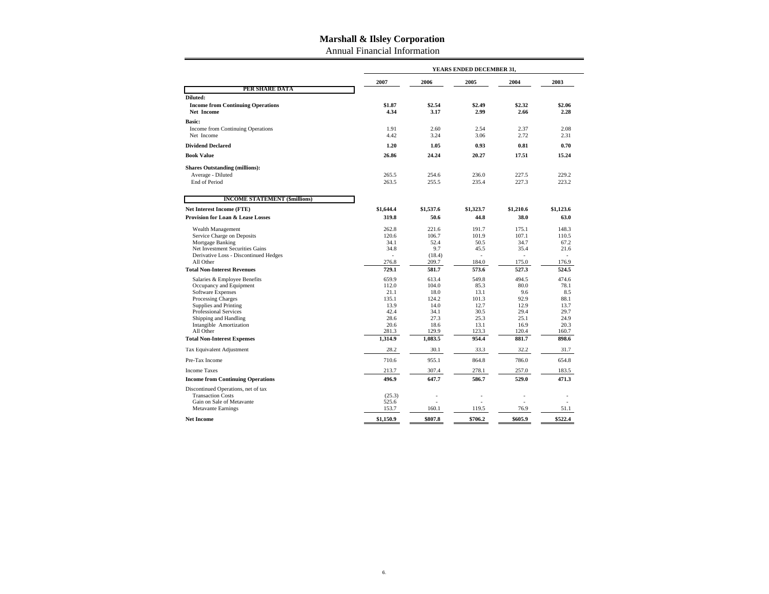Annual Financial Information

|                                                                                  | YEARS ENDED DECEMBER 31, |              |                   |              |              |  |  |
|----------------------------------------------------------------------------------|--------------------------|--------------|-------------------|--------------|--------------|--|--|
|                                                                                  | 2007                     | 2006         | 2005              | 2004         | 2003         |  |  |
| PER SHARE DATA                                                                   |                          |              |                   |              |              |  |  |
| Diluted:                                                                         |                          |              |                   |              |              |  |  |
| <b>Income from Continuing Operations</b>                                         | \$1.87                   | \$2.54       | \$2.49            | \$2.32       | \$2.06       |  |  |
| <b>Net Income</b>                                                                | 4.34                     | 3.17         | 2.99              | 2.66         | 2.28         |  |  |
| <b>Basic:</b>                                                                    |                          |              |                   |              |              |  |  |
| Income from Continuing Operations                                                | 1.91<br>4.42             | 2.60<br>3.24 | 2.54<br>3.06      | 2.37<br>2.72 | 2.08<br>2.31 |  |  |
| Net Income                                                                       |                          |              |                   |              |              |  |  |
| <b>Dividend Declared</b>                                                         | 1.20                     | 1.05         | 0.93              | 0.81         | 0.70         |  |  |
| <b>Book Value</b>                                                                | 26.86                    | 24.24        | 20.27             | 17.51        | 15.24        |  |  |
| <b>Shares Outstanding (millions):</b>                                            |                          |              |                   |              |              |  |  |
| Average - Diluted                                                                | 265.5                    | 254.6        | 236.0             | 227.5        | 229.2        |  |  |
| End of Period                                                                    | 263.5                    | 255.5        | 235.4             | 227.3        | 223.2        |  |  |
|                                                                                  |                          |              |                   |              |              |  |  |
| <b>INCOME STATEMENT (\$millions)</b>                                             |                          |              |                   |              |              |  |  |
| <b>Net Interest Income (FTE)</b><br><b>Provision for Loan &amp; Lease Losses</b> | \$1,644.4<br>319.8       | \$1,537.6    | \$1,323.7<br>44.8 | \$1,210.6    | \$1,123.6    |  |  |
|                                                                                  |                          | 50.6         |                   | 38.0         | 63.0         |  |  |
| Wealth Management                                                                | 262.8                    | 221.6        | 191.7             | 175.1        | 148.3        |  |  |
| Service Charge on Deposits                                                       | 120.6                    | 106.7        | 101.9             | 107.1        | 110.5        |  |  |
| Mortgage Banking                                                                 | 34.1                     | 52.4         | 50.5              | 34.7         | 67.2         |  |  |
| Net Investment Securities Gains                                                  | 34.8                     | 9.7          | 45.5              | 35.4         | 21.6         |  |  |
| Derivative Loss - Discontinued Hedges                                            |                          | (18.4)       | ÷                 | $\sim$       |              |  |  |
| All Other                                                                        | 276.8                    | 209.7        | 184.0             | 175.0        | 176.9        |  |  |
| <b>Total Non-Interest Revenues</b>                                               | 729.1                    | 581.7        | 573.6             | 527.3        | 524.5        |  |  |
| Salaries & Employee Benefits                                                     | 659.9                    | 613.4        | 549.8             | 494.5        | 474.6        |  |  |
| Occupancy and Equipment                                                          | 112.0                    | 104.0        | 85.3              | 80.0         | 78.1         |  |  |
| Software Expenses                                                                | 21.1                     | 18.0         | 13.1              | 9.6          | 8.5          |  |  |
| Processing Charges                                                               | 135.1                    | 124.2        | 101.3             | 92.9         | 88.1         |  |  |
| Supplies and Printing                                                            | 13.9                     | 14.0         | 12.7              | 12.9         | 13.7         |  |  |
| <b>Professional Services</b>                                                     | 42.4                     | 34.1         | 30.5              | 29.4         | 29.7         |  |  |
| Shipping and Handling                                                            | 28.6<br>20.6             | 27.3<br>18.6 | 25.3<br>13.1      | 25.1<br>16.9 | 24.9<br>20.3 |  |  |
| Intangible Amortization<br>All Other                                             | 281.3                    | 129.9        | 123.3             | 120.4        | 160.7        |  |  |
| <b>Total Non-Interest Expenses</b>                                               | 1,314.9                  | 1,083.5      | 954.4             | 881.7        | 898.6        |  |  |
| Tax Equivalent Adjustment                                                        | 28.2                     | 30.1         | 33.3              | 32.2         | 31.7         |  |  |
| Pre-Tax Income                                                                   | 710.6                    | 955.1        | 864.8             | 786.0        | 654.8        |  |  |
| <b>Income Taxes</b>                                                              | 213.7                    | 307.4        | 278.1             | 257.0        | 183.5        |  |  |
| <b>Income from Continuing Operations</b>                                         | 496.9                    | 647.7        | 586.7             | 529.0        | 471.3        |  |  |
| Discontinued Operations, net of tax                                              |                          |              |                   |              |              |  |  |
| <b>Transaction Costs</b>                                                         | (25.3)                   | ÷            |                   |              |              |  |  |
| Gain on Sale of Metavante                                                        | 525.6                    |              |                   |              |              |  |  |
| <b>Metavante Earnings</b>                                                        | 153.7                    | 160.1        | 119.5             | 76.9         | 51.1         |  |  |
| <b>Net Income</b>                                                                | \$1,150.9                | \$807.8      | \$706.2           | \$605.9      | \$522.4      |  |  |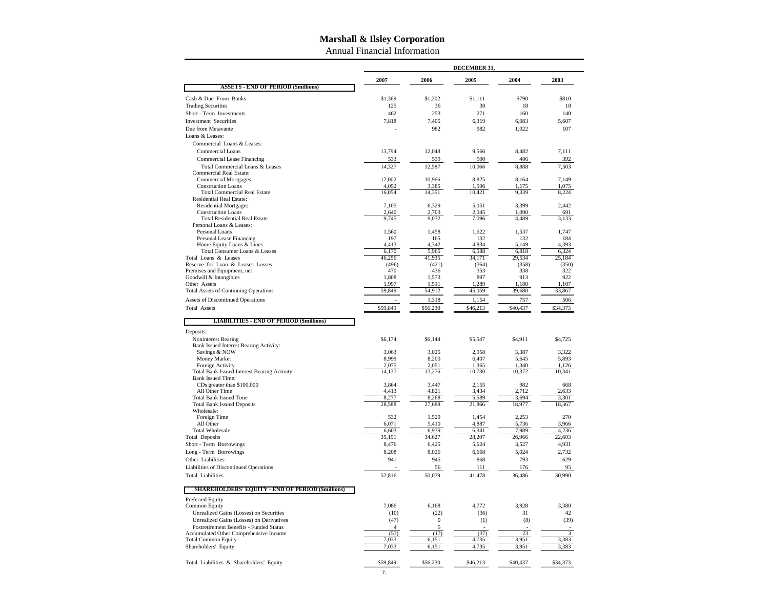Annual Financial Information

|                                                                   | DECEMBER 31,    |                  |                 |                 |                 |  |  |  |  |
|-------------------------------------------------------------------|-----------------|------------------|-----------------|-----------------|-----------------|--|--|--|--|
|                                                                   | 2007            | 2006             | 2005            | 2004            | 2003            |  |  |  |  |
| <b>ASSETS - END OF PERIOD (\$millions)</b>                        |                 |                  |                 |                 |                 |  |  |  |  |
| Cash & Due From Banks                                             | \$1,369         | \$1,202          | \$1,111         | \$790           | \$810           |  |  |  |  |
| <b>Trading Securities</b>                                         | 125             | 36               | 30              | 18              | 18              |  |  |  |  |
| Short - Term Investments                                          | 462             | 253              | 271             | 160             | 140             |  |  |  |  |
| <b>Investment Securities</b>                                      | 7,818           | 7.405            | 6.319           | 6.083           | 5,607           |  |  |  |  |
| Due from Metavante<br>Loans & Leases:                             |                 | 982              | 982             | 1,022           | 107             |  |  |  |  |
| Commercial Loans & Leases:                                        |                 |                  |                 |                 |                 |  |  |  |  |
| Commercial Loans                                                  | 13,794          | 12,048           | 9,566           | 8,482           | 7,111           |  |  |  |  |
| Commercial Lease Financing                                        | 533             | 539              | 500             | 406             | 392             |  |  |  |  |
| Total Commercial Loans & Leases                                   | 14.327          | 12,587           | 10,066          | 8,888           | 7.503           |  |  |  |  |
| <b>Commercial Real Estate:</b>                                    |                 |                  |                 |                 |                 |  |  |  |  |
| <b>Commercial Mortgages</b><br><b>Construction Loans</b>          | 12,002<br>4,052 | 10,966<br>3,385  | 8,825<br>1,596  | 8,164           | 7,149<br>1,075  |  |  |  |  |
| <b>Total Commercial Real Estate</b>                               | 16,054          | 14,351           | 10,421          | 1,175<br>9,339  | 8,224           |  |  |  |  |
| Residential Real Estate:                                          |                 |                  |                 |                 |                 |  |  |  |  |
| <b>Residential Mortgages</b>                                      | 7.105           | 6.329            | 5.051           | 3.399           | 2,442           |  |  |  |  |
| <b>Construction Loans</b><br><b>Total Residential Real Estate</b> | 2,640<br>9,745  | 2,703<br>9,032   | 2,045<br>7,096  | 1,090<br>4,489  | 691<br>3,133    |  |  |  |  |
| Personal Loans & Leases:                                          |                 |                  |                 |                 |                 |  |  |  |  |
| Personal Loans                                                    | 1,560           | 1,458            | 1,622           | 1,537           | 1,747           |  |  |  |  |
| Personal Lease Financing                                          | 197             | 165              | 132             | 132             | 184             |  |  |  |  |
| Home Equity Loans & Lines<br>Total Consumer Loans & Leases        | 4.413<br>6,170  | 4.342<br>5,965   | 4.834<br>6,588  | 5,149<br>6,818  | 4.393<br>6,324  |  |  |  |  |
| Total Loans & Leases                                              | 46,296          | 41,935           | 34,171          | 29,534          | 25.184          |  |  |  |  |
| Reserve for Loan & Leases Losses                                  | (496)           | (421)            | (364)           | (358)           | (350)           |  |  |  |  |
| Premises and Equipment, net                                       | 470             | 436              | 353             | 338             | 322             |  |  |  |  |
| Goodwill & Intangibles<br>Other Assets                            | 1,808<br>1.997  | 1,573<br>1,511   | 897<br>1.289    | 913<br>1,180    | 922<br>1,107    |  |  |  |  |
| <b>Total Assets of Continuing Operations</b>                      | 59.849          | 54,912           | 45,059          | 39,680          | 33,867          |  |  |  |  |
| <b>Assets of Discontinued Operations</b>                          |                 | 1,318            | 1,154           | 757             | 506             |  |  |  |  |
| <b>Total Assets</b>                                               | \$59,849        | \$56,230         | \$46,213        | \$40,437        | \$34,373        |  |  |  |  |
| <b>LIABILITIES - END OF PERIOD (\$millions)</b><br>Deposits:      |                 |                  |                 |                 |                 |  |  |  |  |
| Noninterest Bearing<br>Bank Issued Interest Bearing Activity:     | \$6,174         | \$6,144          | \$5,547         | \$4,911         | \$4,725         |  |  |  |  |
| Savings & NOW                                                     | 3,063           | 3,025            | 2,958           | 3,387           | 3,322           |  |  |  |  |
| Money Market                                                      | 8,999           | 8,200            | 6,407           | 5,645           | 5,893           |  |  |  |  |
| Foreign Activity<br>Total Bank Issued Interest Bearing Activity   | 2,075<br>14,137 | 2,051<br>13,276  | 1,365<br>10,730 | 1,340<br>10,372 | 1,126<br>10,341 |  |  |  |  |
| <b>Bank Issued Time:</b>                                          |                 |                  |                 |                 |                 |  |  |  |  |
| CDs greater than \$100,000                                        | 3,864           | 3,447            | 2,155           | 982             | 668             |  |  |  |  |
| All Other Time<br><b>Total Bank Issued Time</b>                   | 4,413<br>8,277  | 4,821<br>8,268   | 3,434<br>5,589  | 2,712<br>3,694  | 2,633<br>3,301  |  |  |  |  |
| <b>Total Bank Issued Deposits</b>                                 | 28,588          | 27,688           | 21,866          | 18,977          | 18,367          |  |  |  |  |
| Wholesale:                                                        |                 |                  |                 |                 |                 |  |  |  |  |
| Foreign Time                                                      | 532             | 1.529            | 1,454           | 2.253           | 270             |  |  |  |  |
| All Other<br><b>Total Wholesale</b>                               | 6,071<br>6.603  | 5,410<br>6,939   | 4,887<br>6.341  | 5,736<br>7.989  | 3,966<br>4.236  |  |  |  |  |
| <b>Total Deposits</b>                                             | 35,191          | 34,627           | 28,207          | 26,966          | 22,603          |  |  |  |  |
| Short - Term Borrowings                                           | 8,476           | 6,425            | 5,624           | 3,527           | 4,931           |  |  |  |  |
| Long - Term Borrowings                                            | 8,208           | 8,026            | 6,668           | 5,024           | 2,732           |  |  |  |  |
| Other Liabilities                                                 | 941             | 945              | 868             | 793             | 629             |  |  |  |  |
| Liabilities of Discontinued Operations                            |                 | 56               | 111             | 176             | 95              |  |  |  |  |
| <b>Total Liabilities</b>                                          | 52,816          | 50,079           | 41,478          | 36,486          | 30,990          |  |  |  |  |
| <b>SHAREHOLDERS' EQUITY - END OF PERIOD (\$millions)</b>          |                 |                  |                 |                 |                 |  |  |  |  |
| Preferred Equity<br>Common Equity                                 | 7,086           | 6,168            | 4,772           | 3,928           | 3,380           |  |  |  |  |
| Unrealized Gains (Losses) on Securities                           | (10)            | (22)             | (36)            | 31              | 42              |  |  |  |  |
| Unrealized Gains (Losses) on Derivatives                          | (47)            | $\boldsymbol{0}$ | (1)             | (8)             | (39)            |  |  |  |  |
| Postretirement Benefits - Funded Status                           | $\overline{A}$  | 5                |                 |                 |                 |  |  |  |  |
| Accumulated Other Comprehensive Income                            | (53)<br>7.033   | (17)             | (37)            | 23<br>3.951     | 3,383           |  |  |  |  |
| <b>Total Common Equity</b><br>Shareholders' Equity                | 7,033           | 6,151<br>6,151   | 4,735<br>4,735  | 3,951           | 3,383           |  |  |  |  |
|                                                                   |                 |                  |                 |                 |                 |  |  |  |  |
| Total Liabilities & Shareholders' Equity                          | \$59,849        | \$56,230         | \$46,213        | \$40,437        | \$34,373        |  |  |  |  |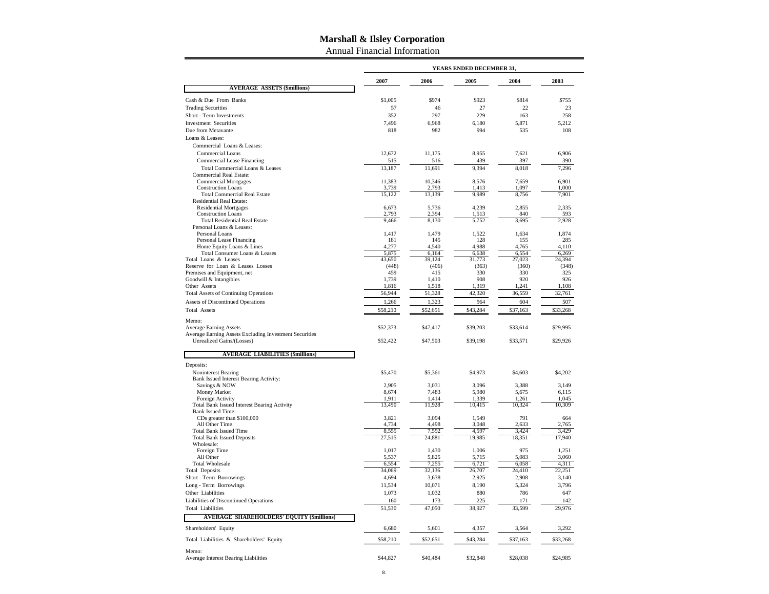Annual Financial Information

|                                                        | YEARS ENDED DECEMBER 31, |                |                |                |                |  |  |  |
|--------------------------------------------------------|--------------------------|----------------|----------------|----------------|----------------|--|--|--|
|                                                        | 2007                     | 2006           | 2005           | 2004           | 2003           |  |  |  |
| <b>AVERAGE ASSETS (\$millions)</b>                     |                          |                |                |                |                |  |  |  |
| Cash & Due From Banks                                  | \$1,005                  | \$974          | \$923          | \$814          | \$755          |  |  |  |
| <b>Trading Securities</b>                              | 57                       | 46             | 27             | 22             | 23             |  |  |  |
| Short - Term Investments                               | 352                      | 297            | 229            | 163            | 258            |  |  |  |
| <b>Investment Securities</b>                           | 7,496                    | 6,968          | 6,180          | 5,871          | 5,212          |  |  |  |
| Due from Metavante                                     | 818                      | 982            | 994            | 535            | 108            |  |  |  |
| Loans & Leases:                                        |                          |                |                |                |                |  |  |  |
| Commercial Loans & Leases:                             |                          |                |                |                |                |  |  |  |
| Commercial Loans                                       | 12,672                   | 11,175         | 8,955          | 7,621          | 6,906          |  |  |  |
| Commercial Lease Financing                             | 515                      | 516            | 439            | 397            | 390            |  |  |  |
| Total Commercial Loans & Leases                        | 13,187                   | 11,691         | 9,394          | 8,018          | 7,296          |  |  |  |
| Commercial Real Estate:<br><b>Commercial Mortgages</b> | 11,383                   | 10,346         | 8.576          | 7.659          | 6,901          |  |  |  |
| <b>Construction Loans</b>                              | 3,739                    | 2,793          | 1,413          | 1,097          | 1,000          |  |  |  |
| <b>Total Commercial Real Estate</b>                    | 15,122                   | 13,139         | 9,989          | 8,756          | 7,901          |  |  |  |
| <b>Residential Real Estate:</b>                        |                          |                |                |                |                |  |  |  |
| <b>Residential Mortgages</b>                           | 6,673                    | 5,736          | 4,239          | 2,855          | 2,335          |  |  |  |
| <b>Construction Loans</b>                              | 2,793                    | 2,394          | 1,513          | 840            | 593            |  |  |  |
| <b>Total Residential Real Estate</b>                   | 9,466                    | 8,130          | 5,752          | 3,695          | 2,928          |  |  |  |
| Personal Loans & Leases:<br>Personal Loans             | 1,417                    | 1,479          | 1,522          | 1,634          | 1,874          |  |  |  |
| Personal Lease Financing                               | 181                      | 145            | 128            | 155            | 285            |  |  |  |
| Home Equity Loans & Lines                              | 4,277                    | 4,540          | 4,988          | 4,765          | 4,110          |  |  |  |
| Total Consumer Loans & Leases                          | 5,875                    | 6,164          | 6,638          | 6,554          | 6,269          |  |  |  |
| Total Loans & Leases                                   | 43,650                   | 39,124         | 31,773         | 27,023         | 24,394         |  |  |  |
| Reserve for Loan & Leases Losses                       | (448)                    | (406)          | (363)          | (360)          | (348)          |  |  |  |
| Premises and Equipment, net<br>Goodwill & Intangibles  | 459                      | 415            | 330            | 330            | 325            |  |  |  |
| Other Assets                                           | 1,739<br>1,816           | 1,410<br>1,518 | 908<br>1,319   | 920<br>1,241   | 926<br>1,108   |  |  |  |
| <b>Total Assets of Continuing Operations</b>           | 56,944                   | 51,328         | 42,320         | 36,559         | 32,761         |  |  |  |
|                                                        | 1,266                    | 1,323          | 964            | 604            | 507            |  |  |  |
| Assets of Discontinued Operations                      |                          |                |                |                |                |  |  |  |
| <b>Total Assets</b>                                    | \$58,210                 | \$52,651       | \$43,284       | \$37,163       | \$33,268       |  |  |  |
| Memo:<br><b>Average Earning Assets</b>                 |                          | \$47,417       | \$39,203       | \$33,614       | \$29,995       |  |  |  |
| Average Earning Assets Excluding Investment Securities | \$52,373                 |                |                |                |                |  |  |  |
| Unrealized Gains/(Losses)                              | \$52,422                 | \$47,503       | \$39,198       | \$33,571       | \$29,926       |  |  |  |
|                                                        |                          |                |                |                |                |  |  |  |
| <b>AVERAGE LIABILITIES (\$millions)</b>                |                          |                |                |                |                |  |  |  |
| Deposits:                                              |                          |                |                |                |                |  |  |  |
| Noninterest Bearing                                    | \$5,470                  | \$5,361        | \$4,973        | \$4,603        | \$4,202        |  |  |  |
| Bank Issued Interest Bearing Activity:                 |                          |                |                |                |                |  |  |  |
| Savings & NOW<br>Money Market                          | 2,905<br>8,674           | 3,031<br>7,483 | 3,096<br>5,980 | 3,388<br>5,675 | 3,149<br>6,115 |  |  |  |
| Foreign Activity                                       | 1,911                    | 1,414          | 1,339          | 1,261          | 1,045          |  |  |  |
| <b>Total Bank Issued Interest Bearing Activity</b>     | 13,490                   | 11,928         | 10,415         | 10,324         | 10,309         |  |  |  |
| <b>Bank Issued Time:</b>                               |                          |                |                |                |                |  |  |  |
| CDs greater than \$100,000                             | 3,821                    | 3,094          | 1,549          | 791            | 664            |  |  |  |
| All Other Time                                         | 4,734                    | 4.498          | 3,048          | 2,633          | 2,765          |  |  |  |
| <b>Total Bank Issued Time</b>                          | 8,555                    | 7,592          | 4,597          | 3,424          | 3,429          |  |  |  |
| <b>Total Bank Issued Deposits</b><br>Wholesale:        | 27,515                   | 24,881         | 19,985         | 18,351         | 17,940         |  |  |  |
| Foreign Time                                           | 1,017                    | 1,430          | 1,006          | 975            | 1,251          |  |  |  |
| All Other                                              | 5,537                    | 5,825          | 5,715          | 5,083          | 3,060          |  |  |  |
| <b>Total Wholesale</b>                                 | 6,554                    | 7,255          | 6,721          | 6,058          | 4,311          |  |  |  |
| <b>Total Deposits</b>                                  | 34,069                   | 32,136         | 26,707         | 24,410         | 22,251         |  |  |  |
| Short - Term Borrowings                                | 4,694                    | 3,638          | 2,925          | 2,908          | 3,140          |  |  |  |
| Long - Term Borrowings                                 | 11,534                   | 10,071         | 8,190          | 5,324          | 3,796          |  |  |  |
| Other Liabilities                                      | 1,073                    | 1,032          | 880            | 786            | 647            |  |  |  |
| Liabilities of Discontinued Operations                 | 160                      | 173            | 225            | 171            | 142            |  |  |  |
| <b>Total Liabilities</b>                               | 51,530                   | 47,050         | 38,927         | 33,599         | 29,976         |  |  |  |
| <b>AVERAGE SHAREHOLDERS' EQUITY (\$millions)</b>       |                          |                |                |                |                |  |  |  |
| Shareholders' Equity                                   | 6,680                    | 5,601          | 4,357          | 3,564          | 3,292          |  |  |  |
|                                                        |                          |                |                |                |                |  |  |  |
| Total Liabilities & Shareholders' Equity               | \$58,210                 | \$52,651       | \$43,284       | \$37,163       | \$33,268       |  |  |  |
| Memo:<br>Average Interest Bearing Liabilities          | \$44,827                 | \$40,484       | \$32,848       | \$28,038       | \$24,985       |  |  |  |
|                                                        |                          |                |                |                |                |  |  |  |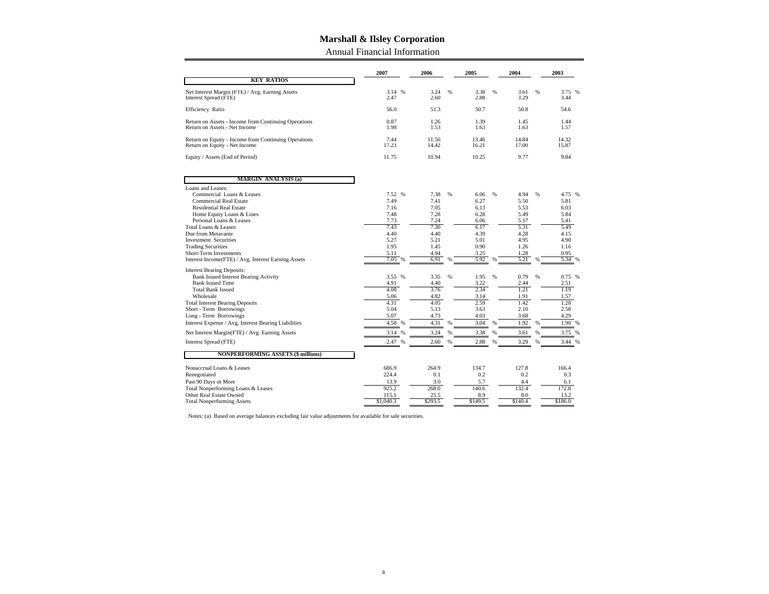Annual Financial Information

| <b>KEY RATIOS</b>                                                                     | 2007                  | 2006           |      | 2005           |   | 2004           |   | 2003           |
|---------------------------------------------------------------------------------------|-----------------------|----------------|------|----------------|---|----------------|---|----------------|
|                                                                                       |                       |                |      |                |   |                |   |                |
| Net Interest Margin (FTE) / Avg. Earning Assets<br>Interest Spread (FTE)              | 3.14 %<br>2.47        | 3.24<br>2.60   | %    | 3.38<br>2.88   | % | 3.61<br>3.29   | % | 3.75 %<br>3.44 |
| Efficiency Ratio                                                                      | 56.0                  | 51.3           |      | 50.7           |   | 50.8           |   | 54.6           |
| Return on Assets - Income from Continuing Operations<br>Return on Assets - Net Income | 0.87<br>1.98          | 1.26<br>1.53   |      | 1.39<br>1.63   |   | 1.45<br>1.63   |   | 1.44<br>1.57   |
| Return on Equity - Income from Continuing Operations<br>Return on Equity - Net Income | 7.44<br>17.23         | 11.56<br>14.42 |      | 13.46<br>16.21 |   | 14.84<br>17.00 |   | 14.32<br>15.87 |
| Equity / Assets (End of Period)                                                       | 11.75                 | 10.94          |      | 10.25          |   | 9.77           |   | 9.84           |
| <b>MARGIN ANALYSIS (a)</b>                                                            |                       |                |      |                |   |                |   |                |
| Loans and Leases:                                                                     |                       |                |      |                |   |                |   |                |
| Commercial Loans & Leases                                                             | 7.52 %                | 7.38           | $\%$ | 6.06           | % | 4.94           | % | 4.75 %         |
| Commercial Real Estate                                                                | 7.49                  | 7.41           |      | 6.27           |   | 5.50           |   | 5.81           |
| <b>Residential Real Estate</b>                                                        | 7.16                  | 7.05           |      | 6.13           |   | 5.53           |   | 6.03           |
| Home Equity Loans & Lines                                                             | 7.48                  | 7.28           |      | 6.28           |   | 5.49           |   | 5.84           |
| Personal Loans & Leases                                                               | 7.73<br>7.43          | 7.24           |      | 6.06           |   | 5.17           |   | 5.41           |
| Total Loans & Leases<br>Due from Metavante                                            | 4.40                  | 7.30<br>4.40   |      | 6.17           |   | 5.31<br>4.28   |   | 5.49<br>4.15   |
| <b>Investment Securities</b>                                                          | 5.27                  | 5.21           |      | 4.39<br>5.01   |   | 4.95           |   | 4.90           |
| <b>Trading Securities</b>                                                             | 1.95                  | 1.45           |      | 0.90           |   | 1.26           |   | 1.16           |
| Short-Term Investments                                                                | 5.11                  | 4.94           |      | 3.25           |   | 1.28           |   | 0.95           |
| Interest Income(FTE) / Avg. Interest Earning Assets                                   | 7.05<br>%             | 6.91           | %    | 5.92           |   | 5.21           | % | 5.34<br>%      |
| <b>Interest Bearing Deposits:</b>                                                     |                       |                |      |                |   |                |   |                |
| <b>Bank Issued Interest Bearing Activity</b>                                          | 3.55 %                | 3.35           | %    | 1.95           | % | 0.79           | % | 0.75 %         |
| <b>Bank Issued Time</b>                                                               | 4.91                  | 4.40           |      | 3.22           |   | 2.44           |   | 2.51           |
| <b>Total Bank Issued</b>                                                              | 4.08                  | 3.76           |      | 2.34           |   | 1.21           |   | 1.19           |
| Wholesale                                                                             | 5.06                  | 4.82           |      | 3.14           |   | 1.91           |   | 1.57           |
| <b>Total Interest Bearing Deposits</b>                                                | 4.31                  | 4.05           |      | 2.59           |   | 1.42           |   | 1.28           |
| Short - Term Borrowings                                                               | 5.04                  | 5.13           |      | 3.63           |   | 2.10           |   | 2.58           |
| Long - Term Borrowings                                                                | 5.07                  | 4.73           |      | 4.03           |   | 3.68           |   | 4.29           |
| Interest Expense / Avg. Interest Bearing Liabilities                                  | 4.58<br>$\frac{0}{6}$ | 4.31           | %    | 3.04           | % | 1.92           | % | 1.90 %         |
| Net Interest Margin(FTE) / Avg. Earning Assets                                        | 3.14<br>%             | 3.24           | %    | 3.38           |   | 3.61           |   | 3.75 %         |
| Interest Spread (FTE)                                                                 | 2.47                  | 2.60           | %    | 2.88           |   | 3.29           |   | 3.44 %         |
| <b>NONPERFORMING ASSETS (\$ millions)</b>                                             |                       |                |      |                |   |                |   |                |
| Nonaccrual Loans & Leases                                                             | 686.9                 | 264.9          |      | 134.7          |   | 127.8          |   | 166.4          |
| Renegotiated                                                                          | 224.4                 | 0.1            |      | 0.2            |   | 0.2            |   | 0.3            |
| Past 90 Days or More                                                                  | 13.9                  | 3.0            |      | 5.7            |   | 4.4            |   | 6.1            |
| Total Nonperforming Loans & Leases                                                    | 925.2                 | 268.0          |      | 140.6          |   | 132.4          |   | 172.8          |
| Other Real Estate Owned                                                               | 115.1                 | 25.5           |      | 8.9            |   | 8.0            |   | 13.2           |
| <b>Total Nonperforming Assets</b>                                                     | \$1,040.3             | \$293.5        |      | \$149.5        |   | \$140.4        |   | \$186.0        |

Notes: (a) Based on average balances excluding fair value adjustments for available for sale securities.